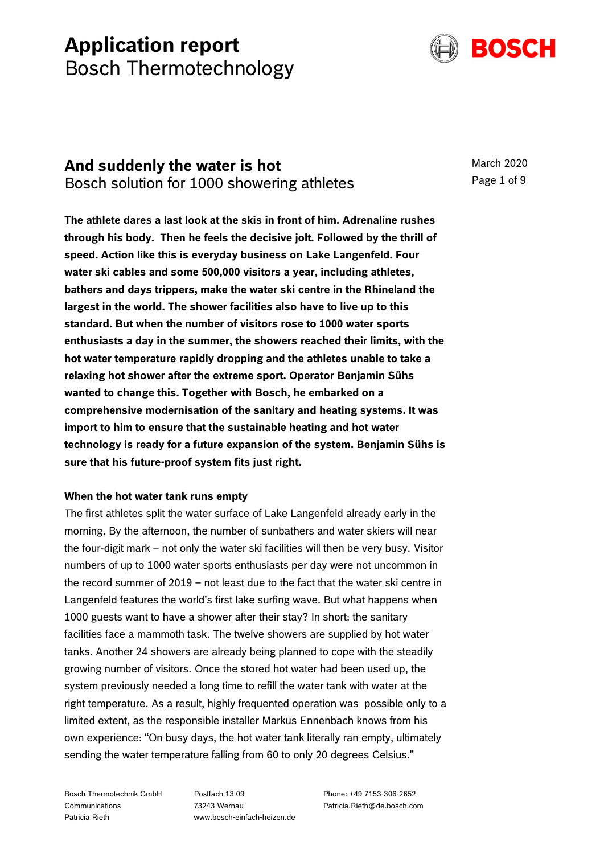# **Application report** Bosch Thermotechnology



# **And suddenly the water is hot** Bosch solution for 1000 showering athletes

March 2020 Page 1 of 9

**The athlete dares a last look at the skis in front of him. Adrenaline rushes through his body. Then he feels the decisive jolt. Followed by the thrill of speed. Action like this is everyday business on Lake Langenfeld. Four water ski cables and some 500,000 visitors a year, including athletes, bathers and days trippers, make the water ski centre in the Rhineland the largest in the world. The shower facilities also have to live up to this standard. But when the number of visitors rose to 1000 water sports enthusiasts a day in the summer, the showers reached their limits, with the hot water temperature rapidly dropping and the athletes unable to take a relaxing hot shower after the extreme sport. Operator Benjamin Sühs wanted to change this. Together with Bosch, he embarked on a comprehensive modernisation of the sanitary and heating systems. It was import to him to ensure that the sustainable heating and hot water technology is ready for a future expansion of the system. Benjamin Sühs is sure that his future-proof system fits just right.**

# **When the hot water tank runs empty**

The first athletes split the water surface of Lake Langenfeld already early in the morning. By the afternoon, the number of sunbathers and water skiers will near the four-digit mark – not only the water ski facilities will then be very busy. Visitor numbers of up to 1000 water sports enthusiasts per day were not uncommon in the record summer of 2019 – not least due to the fact that the water ski centre in Langenfeld features the world's first lake surfing wave. But what happens when 1000 guests want to have a shower after their stay? In short: the sanitary facilities face a mammoth task. The twelve showers are supplied by hot water tanks. Another 24 showers are already being planned to cope with the steadily growing number of visitors. Once the stored hot water had been used up, the system previously needed a long time to refill the water tank with water at the right temperature. As a result, highly frequented operation was possible only to a limited extent, as the responsible installer Markus Ennenbach knows from his own experience: "On busy days, the hot water tank literally ran empty, ultimately sending the water temperature falling from 60 to only 20 degrees Celsius."

Bosch Thermotechnik GmbH **Communications** Patricia Rieth

Postfach 13 09 73243 Wernau www.bosch-einfach-heizen.de

Phone: +49 7153-306-2652 Patricia.Rieth@de.bosch.com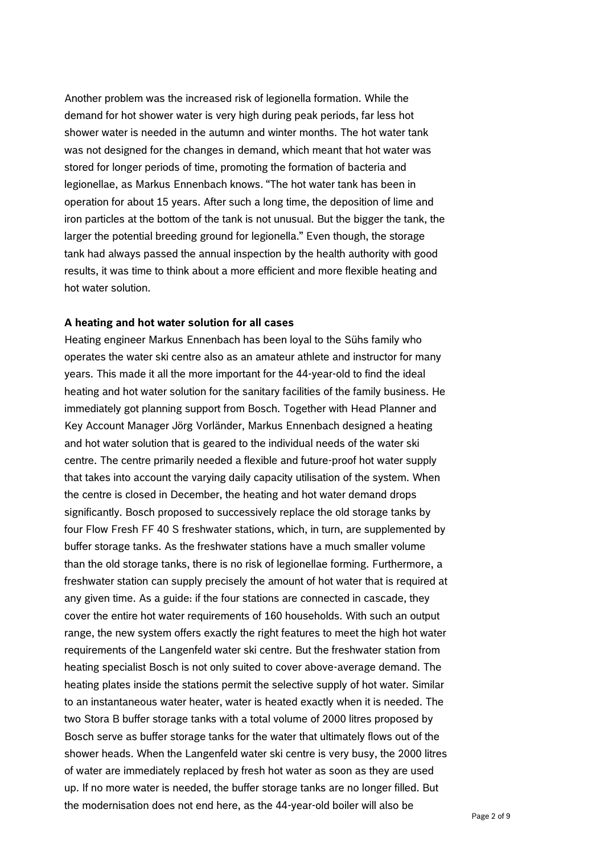Another problem was the increased risk of legionella formation. While the demand for hot shower water is very high during peak periods, far less hot shower water is needed in the autumn and winter months. The hot water tank was not designed for the changes in demand, which meant that hot water was stored for longer periods of time, promoting the formation of bacteria and legionellae, as Markus Ennenbach knows. "The hot water tank has been in operation for about 15 years. After such a long time, the deposition of lime and iron particles at the bottom of the tank is not unusual. But the bigger the tank, the larger the potential breeding ground for legionella." Even though, the storage tank had always passed the annual inspection by the health authority with good results, it was time to think about a more efficient and more flexible heating and hot water solution.

#### **A heating and hot water solution for all cases**

Heating engineer Markus Ennenbach has been loyal to the Sühs family who operates the water ski centre also as an amateur athlete and instructor for many years. This made it all the more important for the 44-year-old to find the ideal heating and hot water solution for the sanitary facilities of the family business. He immediately got planning support from Bosch. Together with Head Planner and Key Account Manager Jörg Vorländer, Markus Ennenbach designed a heating and hot water solution that is geared to the individual needs of the water ski centre. The centre primarily needed a flexible and future-proof hot water supply that takes into account the varying daily capacity utilisation of the system. When the centre is closed in December, the heating and hot water demand drops significantly. Bosch proposed to successively replace the old storage tanks by four Flow Fresh FF 40 S freshwater stations, which, in turn, are supplemented by buffer storage tanks. As the freshwater stations have a much smaller volume than the old storage tanks, there is no risk of legionellae forming. Furthermore, a freshwater station can supply precisely the amount of hot water that is required at any given time. As a guide: if the four stations are connected in cascade, they cover the entire hot water requirements of 160 households. With such an output range, the new system offers exactly the right features to meet the high hot water requirements of the Langenfeld water ski centre. But the freshwater station from heating specialist Bosch is not only suited to cover above-average demand. The heating plates inside the stations permit the selective supply of hot water. Similar to an instantaneous water heater, water is heated exactly when it is needed. The two Stora B buffer storage tanks with a total volume of 2000 litres proposed by Bosch serve as buffer storage tanks for the water that ultimately flows out of the shower heads. When the Langenfeld water ski centre is very busy, the 2000 litres of water are immediately replaced by fresh hot water as soon as they are used up. If no more water is needed, the buffer storage tanks are no longer filled. But the modernisation does not end here, as the 44-year-old boiler will also be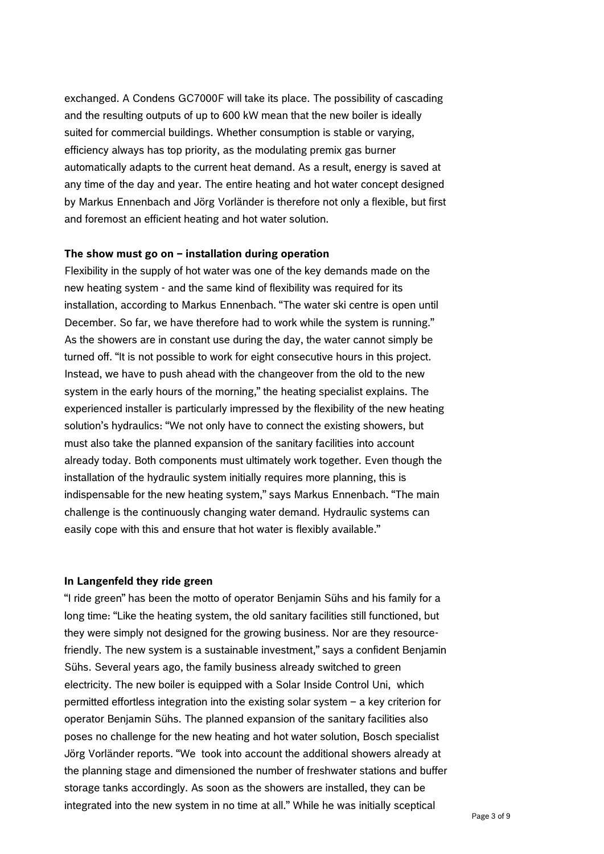exchanged. A Condens GC7000F will take its place. The possibility of cascading and the resulting outputs of up to 600 kW mean that the new boiler is ideally suited for commercial buildings. Whether consumption is stable or varying, efficiency always has top priority, as the modulating premix gas burner automatically adapts to the current heat demand. As a result, energy is saved at any time of the day and year. The entire heating and hot water concept designed by Markus Ennenbach and Jörg Vorländer is therefore not only a flexible, but first and foremost an efficient heating and hot water solution.

#### **The show must go on – installation during operation**

Flexibility in the supply of hot water was one of the key demands made on the new heating system - and the same kind of flexibility was required for its installation, according to Markus Ennenbach. "The water ski centre is open until December. So far, we have therefore had to work while the system is running." As the showers are in constant use during the day, the water cannot simply be turned off. "It is not possible to work for eight consecutive hours in this project. Instead, we have to push ahead with the changeover from the old to the new system in the early hours of the morning," the heating specialist explains. The experienced installer is particularly impressed by the flexibility of the new heating solution's hydraulics: "We not only have to connect the existing showers, but must also take the planned expansion of the sanitary facilities into account already today. Both components must ultimately work together. Even though the installation of the hydraulic system initially requires more planning, this is indispensable for the new heating system," says Markus Ennenbach. "The main challenge is the continuously changing water demand. Hydraulic systems can easily cope with this and ensure that hot water is flexibly available."

#### **In Langenfeld they ride green**

"I ride green" has been the motto of operator Benjamin Sühs and his family for a long time: "Like the heating system, the old sanitary facilities still functioned, but they were simply not designed for the growing business. Nor are they resourcefriendly. The new system is a sustainable investment," says a confident Benjamin Sühs. Several years ago, the family business already switched to green electricity. The new boiler is equipped with a Solar Inside Control Uni, which permitted effortless integration into the existing solar system – a key criterion for operator Benjamin Sühs. The planned expansion of the sanitary facilities also poses no challenge for the new heating and hot water solution, Bosch specialist Jörg Vorländer reports. "We took into account the additional showers already at the planning stage and dimensioned the number of freshwater stations and buffer storage tanks accordingly. As soon as the showers are installed, they can be integrated into the new system in no time at all." While he was initially sceptical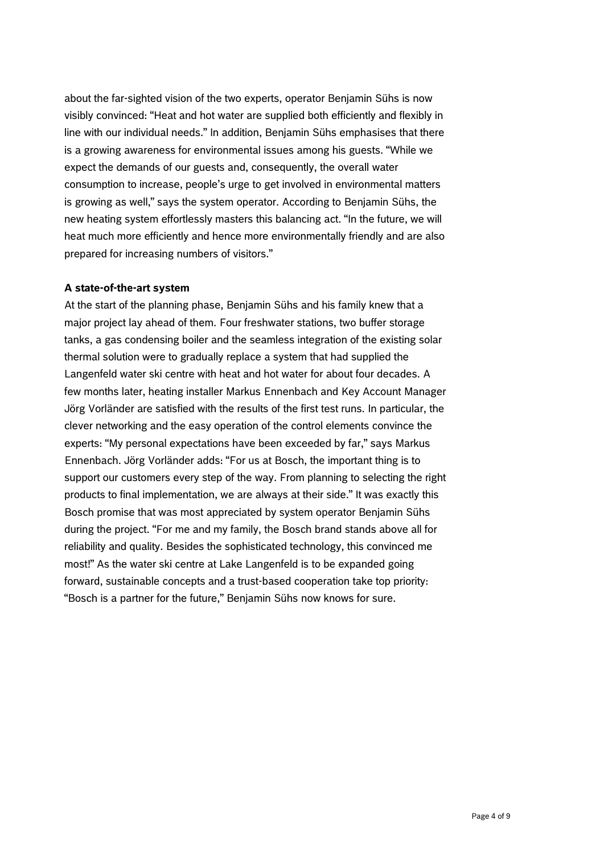about the far-sighted vision of the two experts, operator Benjamin Sühs is now visibly convinced: "Heat and hot water are supplied both efficiently and flexibly in line with our individual needs." In addition, Benjamin Sühs emphasises that there is a growing awareness for environmental issues among his guests. "While we expect the demands of our guests and, consequently, the overall water consumption to increase, people's urge to get involved in environmental matters is growing as well," says the system operator. According to Benjamin Sühs, the new heating system effortlessly masters this balancing act. "In the future, we will heat much more efficiently and hence more environmentally friendly and are also prepared for increasing numbers of visitors."

#### **A state-of-the-art system**

At the start of the planning phase, Benjamin Sühs and his family knew that a major project lay ahead of them. Four freshwater stations, two buffer storage tanks, a gas condensing boiler and the seamless integration of the existing solar thermal solution were to gradually replace a system that had supplied the Langenfeld water ski centre with heat and hot water for about four decades. A few months later, heating installer Markus Ennenbach and Key Account Manager Jörg Vorländer are satisfied with the results of the first test runs. In particular, the clever networking and the easy operation of the control elements convince the experts: "My personal expectations have been exceeded by far," says Markus Ennenbach. Jörg Vorländer adds: "For us at Bosch, the important thing is to support our customers every step of the way. From planning to selecting the right products to final implementation, we are always at their side." It was exactly this Bosch promise that was most appreciated by system operator Benjamin Sühs during the project. "For me and my family, the Bosch brand stands above all for reliability and quality. Besides the sophisticated technology, this convinced me most!" As the water ski centre at Lake Langenfeld is to be expanded going forward, sustainable concepts and a trust-based cooperation take top priority: "Bosch is a partner for the future," Benjamin Sühs now knows for sure.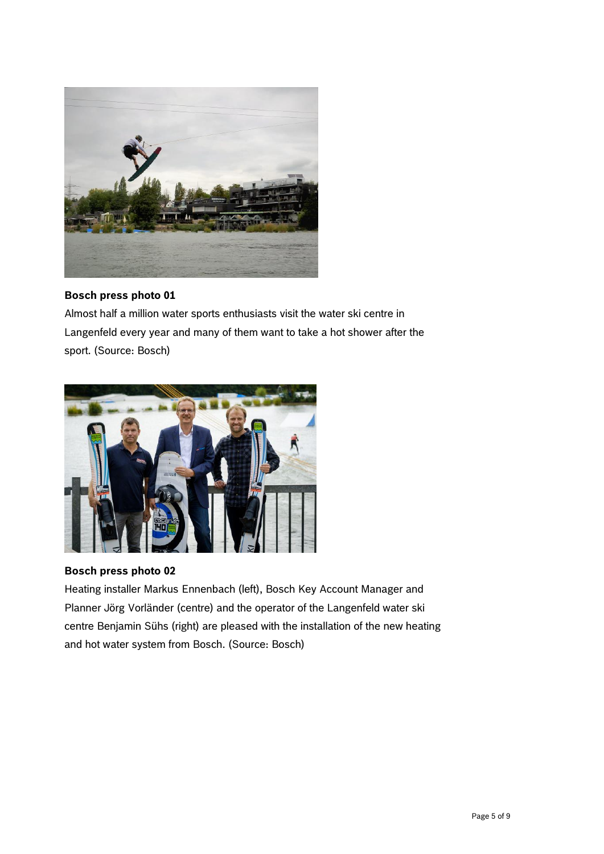

Almost half a million water sports enthusiasts visit the water ski centre in Langenfeld every year and many of them want to take a hot shower after the sport. (Source: Bosch)



#### **Bosch press photo 02**

Heating installer Markus Ennenbach (left), Bosch Key Account Manager and Planner Jörg Vorländer (centre) and the operator of the Langenfeld water ski centre Benjamin Sühs (right) are pleased with the installation of the new heating and hot water system from Bosch. (Source: Bosch)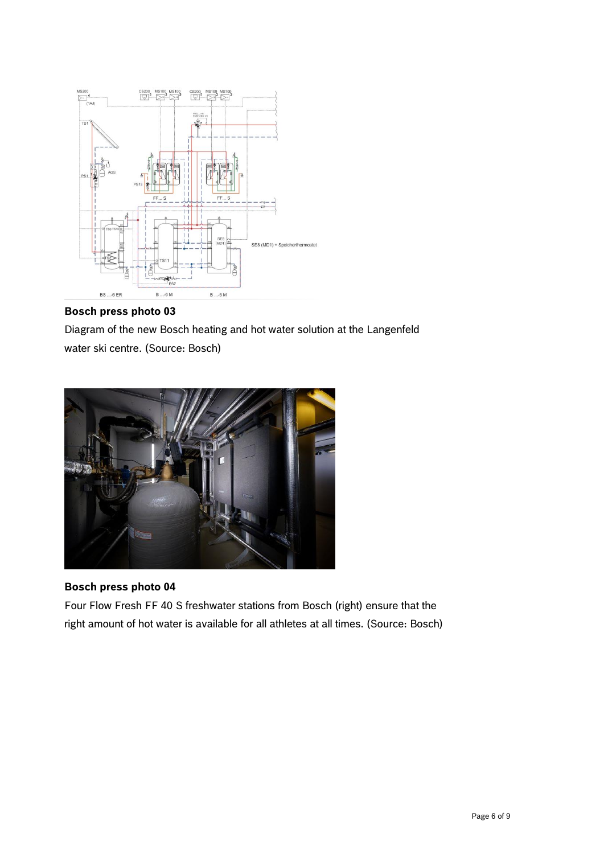

Diagram of the new Bosch heating and hot water solution at the Langenfeld water ski centre. (Source: Bosch)



# **Bosch press photo 04**

Four Flow Fresh FF 40 S freshwater stations from Bosch (right) ensure that the right amount of hot water is available for all athletes at all times. (Source: Bosch)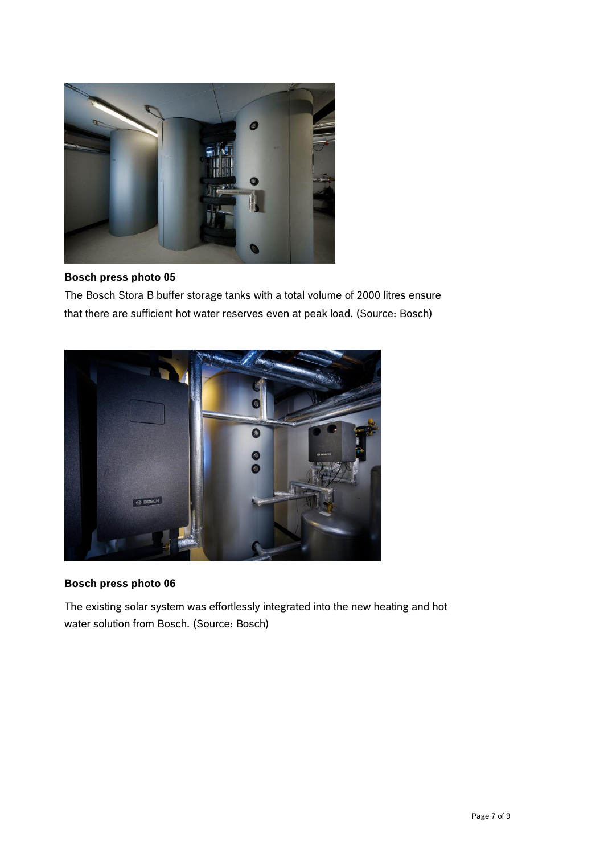

The Bosch Stora B buffer storage tanks with a total volume of 2000 litres ensure that there are sufficient hot water reserves even at peak load. (Source: Bosch)



# **Bosch press photo 06**

The existing solar system was effortlessly integrated into the new heating and hot water solution from Bosch. (Source: Bosch)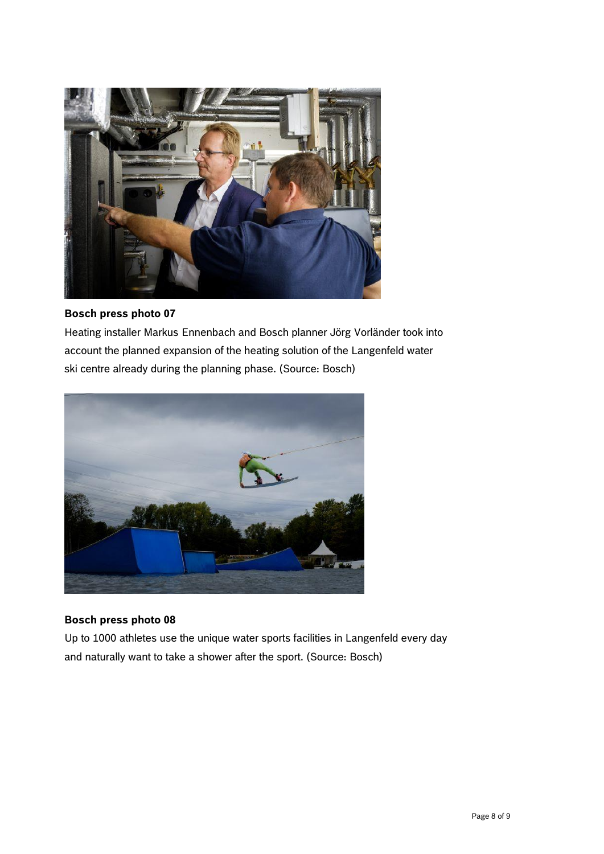

Heating installer Markus Ennenbach and Bosch planner Jörg Vorländer took into account the planned expansion of the heating solution of the Langenfeld water ski centre already during the planning phase. (Source: Bosch)



# **Bosch press photo 08**

Up to 1000 athletes use the unique water sports facilities in Langenfeld every day and naturally want to take a shower after the sport. (Source: Bosch)